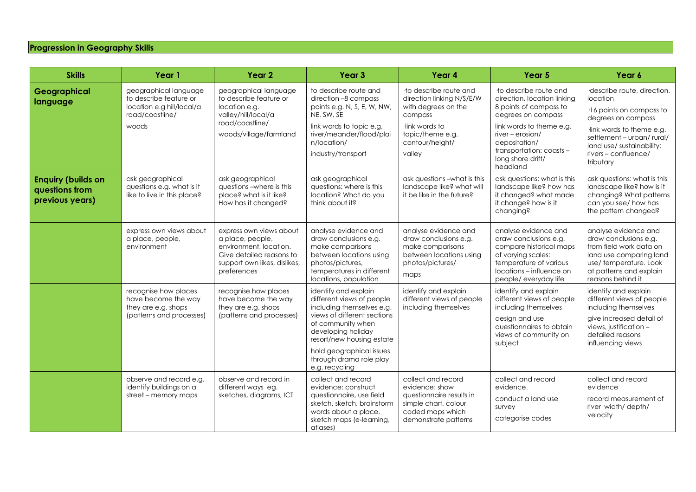## **Progression in Geography Skills**

| <b>Skills</b>                                                  | Year 1                                                                                                   | Year <sub>2</sub>                                                                                                                                | Year <sub>3</sub>                                                                                                                                                                                                                                              | Year 4                                                                                                                                                 | Year 5                                                                                                                                                                                                                             | Year 6                                                                                                                                                                                                              |
|----------------------------------------------------------------|----------------------------------------------------------------------------------------------------------|--------------------------------------------------------------------------------------------------------------------------------------------------|----------------------------------------------------------------------------------------------------------------------------------------------------------------------------------------------------------------------------------------------------------------|--------------------------------------------------------------------------------------------------------------------------------------------------------|------------------------------------------------------------------------------------------------------------------------------------------------------------------------------------------------------------------------------------|---------------------------------------------------------------------------------------------------------------------------------------------------------------------------------------------------------------------|
| Geographical<br>language                                       | geographical language<br>to describe feature or<br>location e.g hill/local/a<br>road/coastline/<br>woods | geographical language<br>to describe feature or<br>location e.g.<br>valley/hill/local/a<br>road/coastline/<br>woods/village/farmland             | to describe route and<br>direction -8 compass<br>points e.g. N, S, E, W, NW,<br>NE, SW, SE<br>link words to topic e.g.<br>river/meander/flood/plai<br>n/location/<br>industry/transport                                                                        | to describe route and<br>direction linking N/S/E/W<br>with degrees on the<br>compass<br>link words to<br>topic/theme e.g.<br>contour/height/<br>valley | to describe route and<br>direction, location linking<br>8 points of compass to<br>degrees on compass<br>link words to theme e.g.<br>river - erosion/<br>depositation/<br>transportation: coasts -<br>long shore drift/<br>headland | describe route, direction,<br>location<br>16 points on compass to<br>degrees on compass<br>link words to theme e.g.<br>settlement - urban/ rural/<br>land use/ sustainability:<br>rivers - confluence/<br>tributary |
| <b>Enquiry (builds on</b><br>questions from<br>previous years) | ask geographical<br>questions e.g. what is it<br>like to live in this place?                             | ask geographical<br>questions - where is this<br>place? what is it like?<br>How has it changed?                                                  | ask geographical<br>questions: where is this<br>location? What do you<br>think about it?                                                                                                                                                                       | ask questions - what is this<br>landscape like? what will<br>it be like in the future?                                                                 | ask questions: what is this<br>landscape like? how has<br>it changed? what made<br>it change? how is it<br>changing?                                                                                                               | ask questions: what is this<br>landscape like? how is it<br>changing? What patterns<br>can you see/ how has<br>the pattern changed?                                                                                 |
|                                                                | express own views about<br>a place, people,<br>environment                                               | express own views about<br>a place, people,<br>environment, location.<br>Give detailed reasons to<br>support own likes, dislikes,<br>preferences | analyse evidence and<br>draw conclusions e.g.<br>make comparisons<br>between locations using<br>photos/pictures,<br>temperatures in different<br>locations, population                                                                                         | analyse evidence and<br>draw conclusions e.g.<br>make comparisons<br>between locations using<br>photos/pictures/<br>maps                               | analyse evidence and<br>draw conclusions e.g.<br>compare historical maps<br>of varying scales:<br>temperature of various<br>locations - influence on<br>people/everyday life                                                       | analyse evidence and<br>draw conclusions e.g.<br>from field work data on<br>land use comparing land<br>use/temperature. Look<br>at patterns and explain<br>reasons behind it                                        |
|                                                                | recognise how places<br>have become the way<br>they are e.g. shops<br>(patterns and processes)           | recognise how places<br>have become the way<br>they are e.g. shops<br>(patterns and processes)                                                   | identify and explain<br>different views of people<br>including themselves e.g.<br>views of different sections<br>of community when<br>developing holiday<br>resort/new housing estate<br>hold geographical issues<br>through drama role play<br>e.g. recycling | identify and explain<br>different views of people<br>including themselves                                                                              | identify and explain<br>different views of people<br>including themselves<br>design and use<br>questionnaires to obtain<br>views of community on<br>subject                                                                        | identify and explain<br>different views of people<br>including themselves<br>give increased detail of<br>views, justification -<br>detailed reasons<br>influencing views                                            |
|                                                                | observe and record e.g.<br>identify buildings on a<br>street - memory maps                               | observe and record in<br>different ways eg.<br>sketches, diagrams, ICT                                                                           | collect and record<br>evidence: construct<br>questionnaire, use field<br>sketch, sketch, brainstorm<br>words about a place,<br>sketch maps (e-learning,<br>atlases)                                                                                            | collect and record<br>evidence: show<br>questionnaire results in<br>simple chart, colour<br>coded maps which<br>demonstrate patterns                   | collect and record<br>evidence.<br>conduct a land use<br>survey<br>categorise codes                                                                                                                                                | collect and record<br>evidence<br>record measurement of<br>river width/ depth/<br>velocity                                                                                                                          |